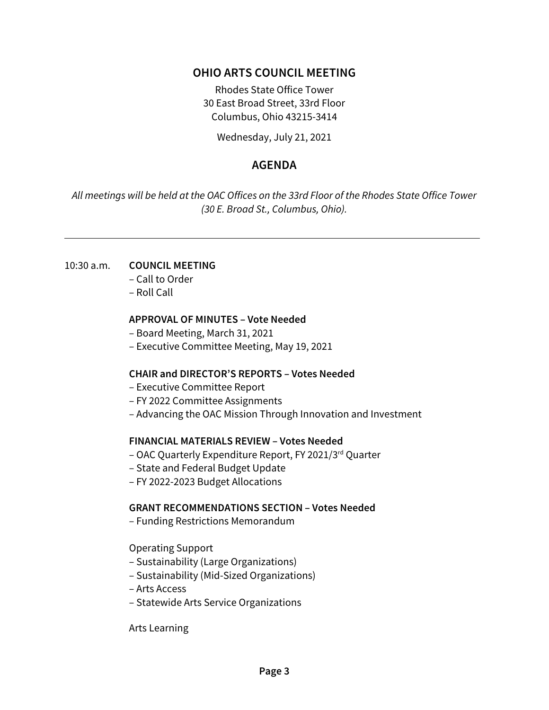# **OHIO ARTS COUNCIL MEETING**

Rhodes State Office Tower 30 East Broad Street, 33rd Floor Columbus, Ohio 43215-3414

Wednesday, July 21, 2021

## **AGENDA**

*All meetings will be held at the OAC Offices on the 33rd Floor of the Rhodes State Office Tower (30 E. Broad St., Columbus, Ohio).*

### 10:30 a.m. **COUNCIL MEETING**

- Call to Order
- Roll Call

### **APPROVAL OF MINUTES – Vote Needed**

- Board Meeting, March 31, 2021
- Executive Committee Meeting, May 19, 2021

#### **CHAIR and DIRECTOR'S REPORTS – Votes Needed**

- Executive Committee Report
- FY 2022 Committee Assignments
- Advancing the OAC Mission Through Innovation and Investment

#### **FINANCIAL MATERIALS REVIEW – Votes Needed**

- OAC Quarterly Expenditure Report, FY 2021/3rd Quarter
- State and Federal Budget Update
- FY 2022-2023 Budget Allocations

#### **GRANT RECOMMENDATIONS SECTION – Votes Needed**

– Funding Restrictions Memorandum

Operating Support

- Sustainability (Large Organizations)
- Sustainability (Mid-Sized Organizations)
- Arts Access
- Statewide Arts Service Organizations

Arts Learning